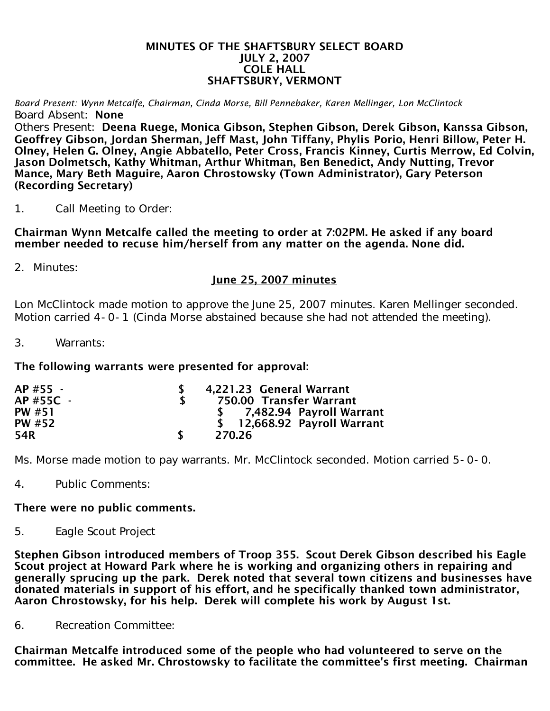#### MINUTES OF THE SHAFTSBURY SELECT BOARD JULY 2, 2007 COLE HALL SHAFTSBURY, VERMONT

*Board Present: Wynn Metcalfe, Chairman, Cinda Morse, Bill Pennebaker, Karen Mellinger, Lon McClintock* Board Absent: None

Others Present: Deena Ruege, Monica Gibson, Stephen Gibson, Derek Gibson, Kanssa Gibson, Geoffrey Gibson, Jordan Sherman, Jeff Mast, John Tiffany, Phylis Porio, Henri Billow, Peter H. Olney, Helen G. Olney, Angie Abbatello, Peter Cross, Francis Kinney, Curtis Merrow, Ed Colvin, Jason Dolmetsch, Kathy Whitman, Arthur Whitman, Ben Benedict, Andy Nutting, Trevor Mance, Mary Beth Maguire, Aaron Chrostowsky (Town Administrator), Gary Peterson (Recording Secretary)

1. Call Meeting to Order:

Chairman Wynn Metcalfe called the meeting to order at 7:02PM. He asked if any board member needed to recuse him/herself from any matter on the agenda. None did.

2. Minutes:

# June 25, 2007 minutes

Lon McClintock made motion to approve the June 25, 2007 minutes. Karen Mellinger seconded. Motion carried 4-0-1 (Cinda Morse abstained because she had not attended the meeting).

3. Warrants:

### The following warrants were presented for approval:

| AP #55 -  | 4,221.23 General Warrant     |
|-----------|------------------------------|
| AP #55C - | 750.00 Transfer Warrant      |
| PW #51    | \$ 7,482.94 Payroll Warrant  |
| PW #52    | \$ 12,668.92 Payroll Warrant |
| 54R       | 270.26                       |

Ms. Morse made motion to pay warrants. Mr. McClintock seconded. Motion carried 5-0-0.

4. Public Comments:

### There were no public comments.

5. Eagle Scout Project

Stephen Gibson introduced members of Troop 355. Scout Derek Gibson described his Eagle Scout project at Howard Park where he is working and organizing others in repairing and generally sprucing up the park. Derek noted that several town citizens and businesses have donated materials in support of his effort, and he specifically thanked town administrator, Aaron Chrostowsky, for his help. Derek will complete his work by August 1st.

6. Recreation Committee:

Chairman Metcalfe introduced some of the people who had volunteered to serve on the committee. He asked Mr. Chrostowsky to facilitate the committee's first meeting. Chairman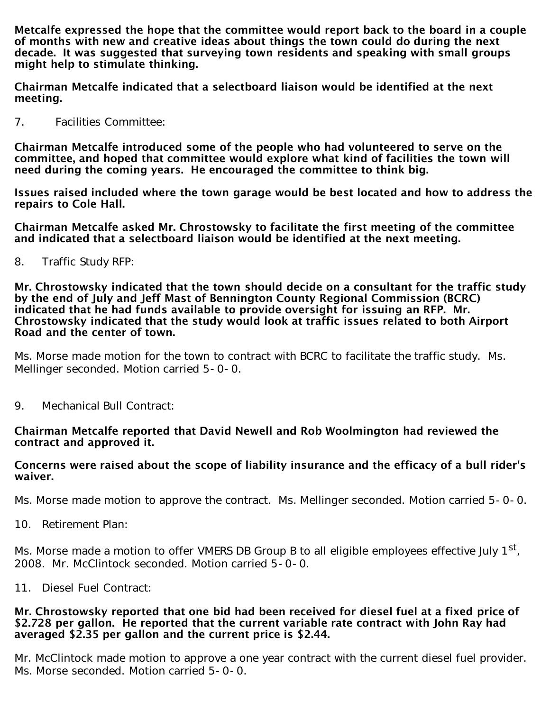Metcalfe expressed the hope that the committee would report back to the board in a couple of months with new and creative ideas about things the town could do during the next decade. It was suggested that surveying town residents and speaking with small groups might help to stimulate thinking.

Chairman Metcalfe indicated that a selectboard liaison would be identified at the next meeting.

7. Facilities Committee:

Chairman Metcalfe introduced some of the people who had volunteered to serve on the committee, and hoped that committee would explore what kind of facilities the town will need during the coming years. He encouraged the committee to think big.

Issues raised included where the town garage would be best located and how to address the repairs to Cole Hall.

Chairman Metcalfe asked Mr. Chrostowsky to facilitate the first meeting of the committee and indicated that a selectboard liaison would be identified at the next meeting.

8. Traffic Study RFP:

Mr. Chrostowsky indicated that the town should decide on a consultant for the traffic study by the end of July and Jeff Mast of Bennington County Regional Commission (BCRC) indicated that he had funds available to provide oversight for issuing an RFP. Mr. Chrostowsky indicated that the study would look at traffic issues related to both Airport Road and the center of town.

Ms. Morse made motion for the town to contract with BCRC to facilitate the traffic study. Ms. Mellinger seconded. Motion carried 5-0-0.

9. Mechanical Bull Contract:

### Chairman Metcalfe reported that David Newell and Rob Woolmington had reviewed the contract and approved it.

## Concerns were raised about the scope of liability insurance and the efficacy of a bull rider's waiver.

Ms. Morse made motion to approve the contract. Ms. Mellinger seconded. Motion carried 5-0-0.

10. Retirement Plan:

Ms. Morse made a motion to offer VMERS DB Group B to all eligible employees effective July 1<sup>st</sup>, 2008. Mr. McClintock seconded. Motion carried 5-0-0.

11. Diesel Fuel Contract:

#### Mr. Chrostowsky reported that one bid had been received for diesel fuel at a fixed price of \$2.728 per gallon. He reported that the current variable rate contract with John Ray had averaged \$2.35 per gallon and the current price is \$2.44.

Mr. McClintock made motion to approve a one year contract with the current diesel fuel provider. Ms. Morse seconded. Motion carried 5-0-0.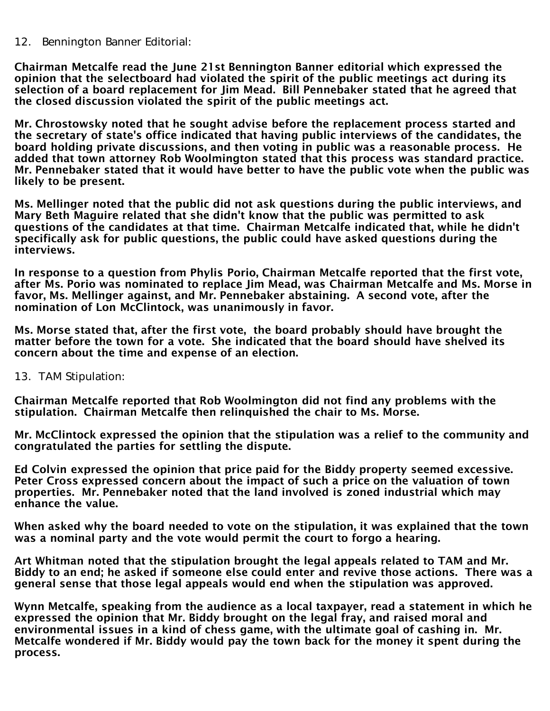12. Bennington Banner Editorial:

Chairman Metcalfe read the June 21st Bennington Banner editorial which expressed the opinion that the selectboard had violated the spirit of the public meetings act during its selection of a board replacement for Jim Mead. Bill Pennebaker stated that he agreed that the closed discussion violated the spirit of the public meetings act.

Mr. Chrostowsky noted that he sought advise before the replacement process started and the secretary of state's office indicated that having public interviews of the candidates, the board holding private discussions, and then voting in public was a reasonable process. He added that town attorney Rob Woolmington stated that this process was standard practice. Mr. Pennebaker stated that it would have better to have the public vote when the public was likely to be present.

Ms. Mellinger noted that the public did not ask questions during the public interviews, and Mary Beth Maguire related that she didn't know that the public was permitted to ask questions of the candidates at that time. Chairman Metcalfe indicated that, while he didn't specifically ask for public questions, the public could have asked questions during the interviews.

In response to a question from Phylis Porio, Chairman Metcalfe reported that the first vote, after Ms. Porio was nominated to replace Jim Mead, was Chairman Metcalfe and Ms. Morse in favor, Ms. Mellinger against, and Mr. Pennebaker abstaining. A second vote, after the nomination of Lon McClintock, was unanimously in favor.

Ms. Morse stated that, after the first vote, the board probably should have brought the matter before the town for a vote. She indicated that the board should have shelved its concern about the time and expense of an election.

13. TAM Stipulation:

Chairman Metcalfe reported that Rob Woolmington did not find any problems with the stipulation. Chairman Metcalfe then relinquished the chair to Ms. Morse.

Mr. McClintock expressed the opinion that the stipulation was a relief to the community and congratulated the parties for settling the dispute.

Ed Colvin expressed the opinion that price paid for the Biddy property seemed excessive. Peter Cross expressed concern about the impact of such a price on the valuation of town properties. Mr. Pennebaker noted that the land involved is zoned industrial which may enhance the value.

When asked why the board needed to vote on the stipulation, it was explained that the town was a nominal party and the vote would permit the court to forgo a hearing.

Art Whitman noted that the stipulation brought the legal appeals related to TAM and Mr. Biddy to an end; he asked if someone else could enter and revive those actions. There was a general sense that those legal appeals would end when the stipulation was approved.

Wynn Metcalfe, speaking from the audience as a local taxpayer, read a statement in which he expressed the opinion that Mr. Biddy brought on the legal fray, and raised moral and environmental issues in a kind of chess game, with the ultimate goal of cashing in. Mr. Metcalfe wondered if Mr. Biddy would pay the town back for the money it spent during the process.